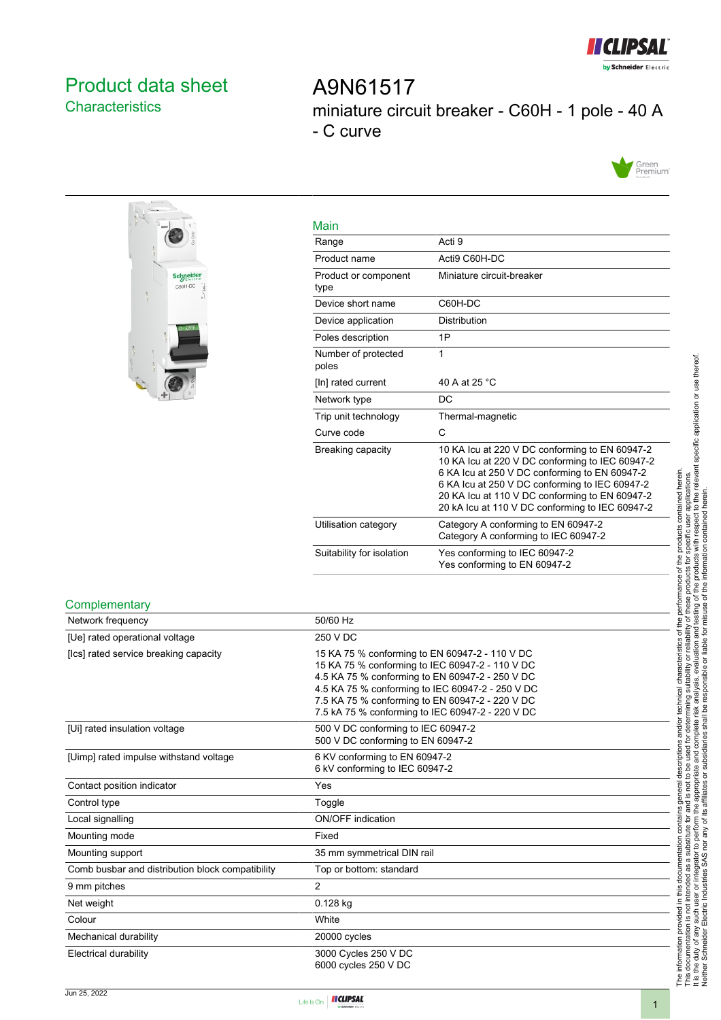

# <span id="page-0-0"></span>Product data sheet **Characteristics**

A9N61517 miniature circuit breaker - C60H - 1 pole - 40 A - C curve





| Main                         |                                                                                                                                                                                                                                                                                                           |
|------------------------------|-----------------------------------------------------------------------------------------------------------------------------------------------------------------------------------------------------------------------------------------------------------------------------------------------------------|
| Range                        | Acti 9                                                                                                                                                                                                                                                                                                    |
| Product name                 | Acti9 C60H-DC                                                                                                                                                                                                                                                                                             |
| Product or component<br>type | Miniature circuit-breaker                                                                                                                                                                                                                                                                                 |
| Device short name            | C60H-DC                                                                                                                                                                                                                                                                                                   |
| Device application           | <b>Distribution</b>                                                                                                                                                                                                                                                                                       |
| Poles description            | 1P                                                                                                                                                                                                                                                                                                        |
| Number of protected<br>poles | 1                                                                                                                                                                                                                                                                                                         |
| [In] rated current           | 40 A at 25 °C                                                                                                                                                                                                                                                                                             |
| Network type                 | DC                                                                                                                                                                                                                                                                                                        |
| Trip unit technology         | Thermal-magnetic                                                                                                                                                                                                                                                                                          |
| Curve code                   | C                                                                                                                                                                                                                                                                                                         |
| Breaking capacity            | 10 KA Icu at 220 V DC conforming to EN 60947-2<br>10 KA Icu at 220 V DC conforming to IEC 60947-2<br>6 KA Icu at 250 V DC conforming to EN 60947-2<br>6 KA Icu at 250 V DC conforming to IEC 60947-2<br>20 KA Icu at 110 V DC conforming to EN 60947-2<br>20 kA Icu at 110 V DC conforming to IEC 60947-2 |
| Utilisation category         | Category A conforming to EN 60947-2<br>Category A conforming to IEC 60947-2                                                                                                                                                                                                                               |
| Suitability for isolation    | Yes conforming to IEC 60947-2<br>Yes conforming to EN 60947-2                                                                                                                                                                                                                                             |

#### **Complementary**

| Network frequency                                | 50/60 Hz                                                                                                                                                                                                                                                                                                        |
|--------------------------------------------------|-----------------------------------------------------------------------------------------------------------------------------------------------------------------------------------------------------------------------------------------------------------------------------------------------------------------|
| [Ue] rated operational voltage                   | 250 V DC                                                                                                                                                                                                                                                                                                        |
| [Ics] rated service breaking capacity            | 15 KA 75 % conforming to EN 60947-2 - 110 V DC<br>15 KA 75 % conforming to IEC 60947-2 - 110 V DC<br>4.5 KA 75 % conforming to EN 60947-2 - 250 V DC<br>4.5 KA 75 % conforming to IEC 60947-2 - 250 V DC<br>7.5 KA 75 % conforming to EN 60947-2 - 220 V DC<br>7.5 kA 75 % conforming to IEC 60947-2 - 220 V DC |
| [Ui] rated insulation voltage                    | 500 V DC conforming to IEC 60947-2<br>500 V DC conforming to EN 60947-2                                                                                                                                                                                                                                         |
| [Uimp] rated impulse withstand voltage           | 6 KV conforming to EN 60947-2<br>6 kV conforming to IEC 60947-2                                                                                                                                                                                                                                                 |
| Contact position indicator                       | Yes                                                                                                                                                                                                                                                                                                             |
| Control type                                     | Toggle                                                                                                                                                                                                                                                                                                          |
| Local signalling                                 | <b>ON/OFF</b> indication                                                                                                                                                                                                                                                                                        |
| Mounting mode                                    | Fixed                                                                                                                                                                                                                                                                                                           |
| Mounting support                                 | 35 mm symmetrical DIN rail                                                                                                                                                                                                                                                                                      |
| Comb busbar and distribution block compatibility | Top or bottom: standard                                                                                                                                                                                                                                                                                         |
| 9 mm pitches                                     | $\overline{2}$                                                                                                                                                                                                                                                                                                  |
| Net weight                                       | $0.128$ kg                                                                                                                                                                                                                                                                                                      |
| Colour                                           | White                                                                                                                                                                                                                                                                                                           |
| Mechanical durability                            | 20000 cycles                                                                                                                                                                                                                                                                                                    |
| Electrical durability                            | 3000 Cycles 250 V DC<br>6000 cycles 250 V DC                                                                                                                                                                                                                                                                    |